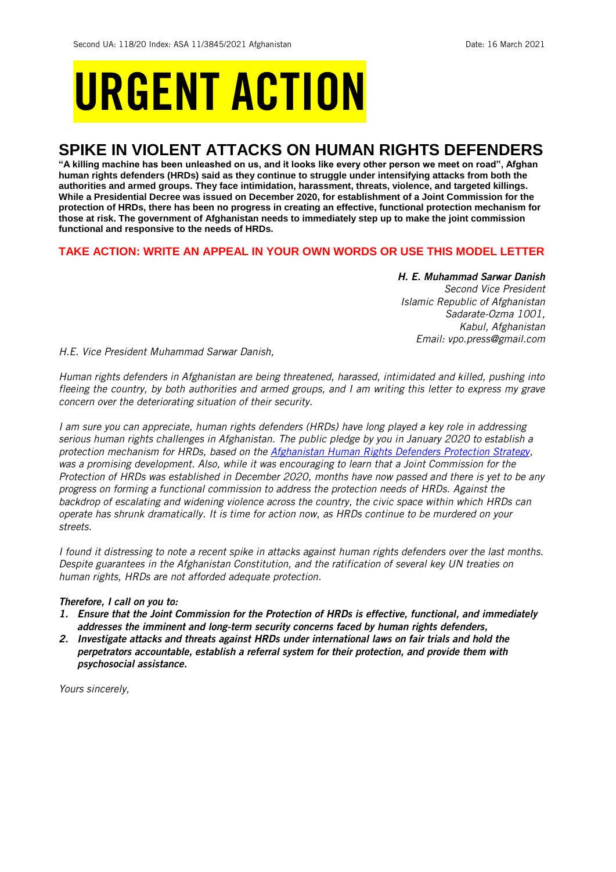# URGENT ACTION

## **SPIKE IN VIOLENT ATTACKS ON HUMAN RIGHTS DEFENDERS**

**"A killing machine has been unleashed on us, and it looks like every other person we meet on road", Afghan human rights defenders (HRDs) said as they continue to struggle under intensifying attacks from both the authorities and armed groups. They face intimidation, harassment, threats, violence, and targeted killings. While a Presidential Decree was issued on December 2020, for establishment of a Joint Commission for the protection of HRDs, there has been no progress in creating an effective, functional protection mechanism for those at risk. The government of Afghanistan needs to immediately step up to make the joint commission functional and responsive to the needs of HRDs.** 

## **TAKE ACTION: WRITE AN APPEAL IN YOUR OWN WORDS OR USE THIS MODEL LETTER**

*H. E. Muhammad Sarwar Danish Second Vice President Islamic Republic of Afghanistan Sadarate-Ozma 1001, Kabul, Afghanistan Email: vpo.press@gmail.com*

*H.E. Vice President Muhammad Sarwar Danish,*

*Human rights defenders in Afghanistan are being threatened, harassed, intimidated and killed, pushing into fleeing the country, by both authorities and armed groups, and I am writing this letter to express my grave concern over the deteriorating situation of their security.* 

*I am sure you can appreciate, human rights defenders (HRDs) have long played a key role in addressing serious human rights challenges in Afghanistan. The public pledge by you in January 2020 to establish a protection mechanism for HRDs, based on the [Afghanistan Human Rights Defenders Protection Strategy,](https://twitter.com/amnestysasia/status/1218831589909520384) was a promising development. Also, while it was encouraging to learn that a Joint Commission for the Protection of HRDs was established in December 2020, months have now passed and there is yet to be any progress on forming a functional commission to address the protection needs of HRDs. Against the backdrop of escalating and widening violence across the country, the civic space within which HRDs can operate has shrunk dramatically. It is time for action now, as HRDs continue to be murdered on your streets.*

*I found it distressing to note a recent spike in attacks against human rights defenders over the last months. Despite guarantees in the Afghanistan Constitution, and the ratification of several key UN treaties on human rights, HRDs are not afforded adequate protection.* 

## *Therefore, I call on you to:*

- *1. Ensure that the Joint Commission for the Protection of HRDs is effective, functional, and immediately addresses the imminent and long-term security concerns faced by human rights defenders,*
- *2. Investigate attacks and threats against HRDs under international laws on fair trials and hold the perpetrators accountable, establish a referral system for their protection, and provide them with psychosocial assistance.*

*Yours sincerely,*